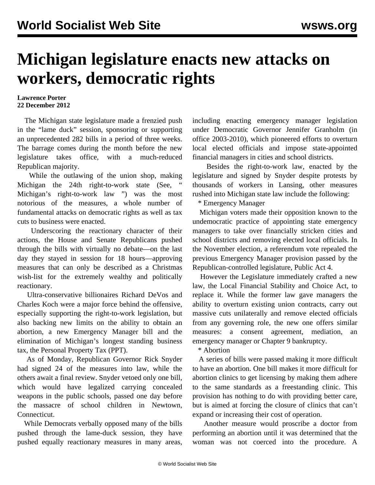# **Michigan legislature enacts new attacks on workers, democratic rights**

#### **Lawrence Porter 22 December 2012**

 The Michigan state legislature made a frenzied push in the "lame duck" session, sponsoring or supporting an unprecedented 282 bills in a period of three weeks. The barrage comes during the month before the new legislature takes office, with a much-reduced Republican majority.

 While the outlawing of the union shop, making Michigan the 24th right-to-work state (See, " [Michigan's right-to-work law](/en/articles/2012/12/13/pers-d13.html) ") was the most notorious of the measures, a whole number of fundamental attacks on democratic rights as well as tax cuts to business were enacted.

 Underscoring the reactionary character of their actions, the House and Senate Republicans pushed through the bills with virtually no debate—on the last day they stayed in session for 18 hours—approving measures that can only be described as a Christmas wish-list for the extremely wealthy and politically reactionary.

 Ultra-conservative billionaires Richard DeVos and Charles Koch were a major force behind the offensive, especially supporting the right-to-work legislation, but also backing new limits on the ability to obtain an abortion, a new Emergency Manager bill and the elimination of Michigan's longest standing business tax, the Personal Property Tax (PPT).

 As of Monday, Republican Governor Rick Snyder had signed 24 of the measures into law, while the others await a final review. Snyder vetoed only one bill, which would have legalized carrying concealed weapons in the public schools, passed one day before the massacre of school children in Newtown, Connecticut.

 While Democrats verbally opposed many of the bills pushed through the lame-duck session, they have pushed equally reactionary measures in many areas, including enacting emergency manager legislation under Democratic Governor Jennifer Granholm (in office 2003-2010), which pioneered efforts to overturn local elected officials and impose state-appointed financial managers in cities and school districts.

 Besides the right-to-work law, enacted by the legislature and signed by Snyder despite protests by thousands of workers in Lansing, other measures rushed into Michigan state law include the following:

\* Emergency Manager

 Michigan voters made their opposition known to the undemocratic practice of appointing state emergency managers to take over financially stricken cities and school districts and removing elected local officials. In the November election, a referendum vote repealed the previous Emergency Manager provision passed by the Republican-controlled legislature, Public Act 4.

 However the Legislature immediately crafted a new law, the Local Financial Stability and Choice Act, to replace it. While the former law gave managers the ability to overturn existing union contracts, carry out massive cuts unilaterally and remove elected officials from any governing role, the new one offers similar measures: a consent agreement, mediation, an emergency manager or Chapter 9 bankruptcy.

\* Abortion

 A series of bills were passed making it more difficult to have an abortion. One bill makes it more difficult for abortion clinics to get licensing by making them adhere to the same standards as a freestanding clinic. This provision has nothing to do with providing better care, but is aimed at forcing the closure of clinics that can't expand or increasing their cost of operation.

 Another measure would proscribe a doctor from performing an abortion until it was determined that the woman was not coerced into the procedure. A